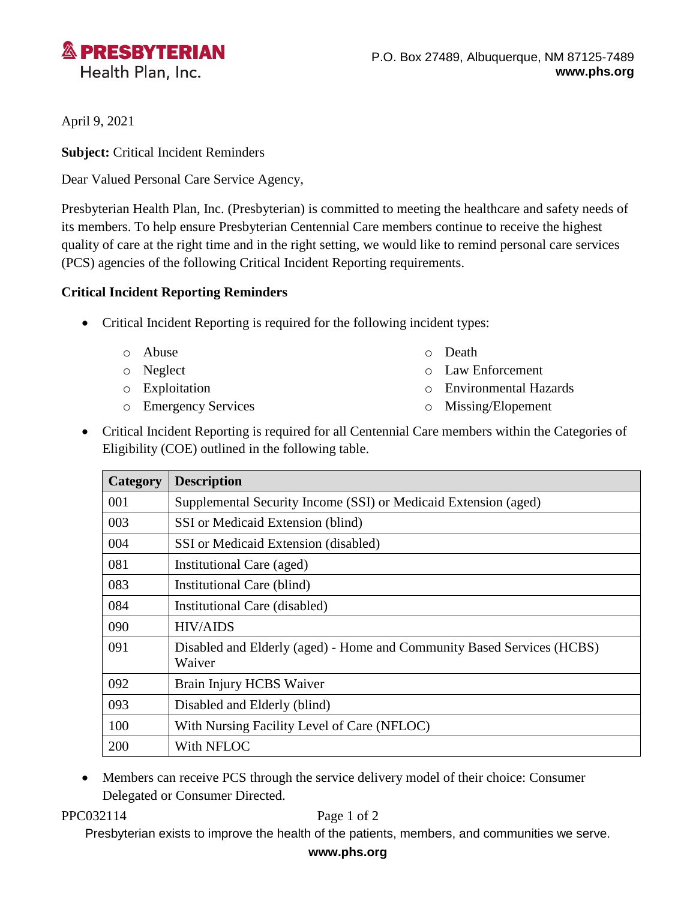

April 9, 2021

**Subject:** Critical Incident Reminders

Dear Valued Personal Care Service Agency,

Presbyterian Health Plan, Inc. (Presbyterian) is committed to meeting the healthcare and safety needs of its members. To help ensure Presbyterian Centennial Care members continue to receive the highest quality of care at the right time and in the right setting, we would like to remind personal care services (PCS) agencies of the following Critical Incident Reporting requirements.

## **Critical Incident Reporting Reminders**

- Critical Incident Reporting is required for the following incident types:
	- o Abuse
	- o Neglect
	- o Exploitation
	- o Emergency Services
- o Death
- o Law Enforcement
- o Environmental Hazards
- o Missing/Elopement
- Critical Incident Reporting is required for all Centennial Care members within the Categories of Eligibility (COE) outlined in the following table.

| Category | <b>Description</b>                                                               |
|----------|----------------------------------------------------------------------------------|
| 001      | Supplemental Security Income (SSI) or Medicaid Extension (aged)                  |
| 003      | SSI or Medicaid Extension (blind)                                                |
| 004      | SSI or Medicaid Extension (disabled)                                             |
| 081      | Institutional Care (aged)                                                        |
| 083      | Institutional Care (blind)                                                       |
| 084      | Institutional Care (disabled)                                                    |
| 090      | <b>HIV/AIDS</b>                                                                  |
| 091      | Disabled and Elderly (aged) - Home and Community Based Services (HCBS)<br>Waiver |
| 092      | Brain Injury HCBS Waiver                                                         |
| 093      | Disabled and Elderly (blind)                                                     |
| 100      | With Nursing Facility Level of Care (NFLOC)                                      |
| 200      | With NFLOC                                                                       |

• Members can receive PCS through the service delivery model of their choice: Consumer Delegated or Consumer Directed.

PPC032114 Page 1 of 2

Presbyterian exists to improve the health of the patients, members, and communities we serve.